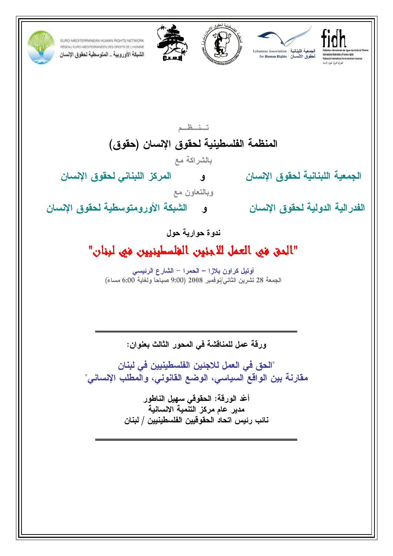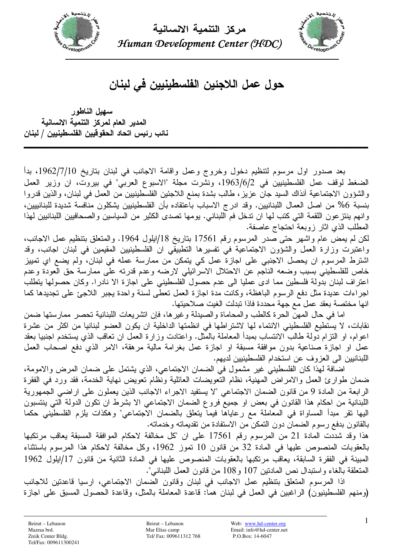



حول عمل اللاجئين الفلسطينيين في لبنان

سهيل الناطور المدير العام لمركز التنمية الانسانية نائب رئيس اتحاد الحقوقيين الفلسطينيين / لبنان

بعد صدور اول مرسوم لتنظيم دخول وخروج وعمل وإقامة الاجانب في لبنان بتاريخ 1962/7/10، بدأ الضغط لوقف عمل الفلسطينيين في 1963/6/2، ونشرت مجلة "الاسبوع العربي" في بيروت، ان وزير العمل والشؤون الاجتماعية أنذاك السبد جان عزيز، طالب بشدة بمنع اللاجئين الفلسطينيين من العمل في لبنان، والذين قدروا بنسبة 6% من اصل العمال اللبنانيين. وقد ادرج الاسباب باعتقاده بأن الفلسطينيين يشكلون منافسة شديدة للبنانييين، وانهم بنتز عون اللقمة التي كتب لها ان تدخل فم اللبناني. بومها تصدى الكثير من السياسين والصحافيين اللبنانيين لهذا المطلب الذي اثار زوبعة احتجاج عاصفة.

لكن لم يمض عام واشهر حتى صدر المرسوم رقم 17561 بتاريخ 18/ايلول 1964. والمتعلق بتنظيم عمل الاجانب، واعتبرت وزارة العمل والشؤون الاجتماعية في نفسيرها التطبيقي ان الفلسطينيين المقيمين في لبنان اجانب، وقد اشترط المرسوم ان يحصل الاجنبي على اجازة عمل كي يتمكن من ممارسة عمله في لبنان، ولم يضع اي تمييز خاص للفلسطيني بسبب وضعه الناجم عن الاحتلال الاسرائيلي لارضه وعدم قدرنه على ممارسة حق العودة وعدم اعتراف لبنان بدّولة فلسطين مما ادى عمليا الى عدم حصول الفلسطيني على اجازة الا نادرا. وكان حصولها بنطلب اجراءات عديدة مثل دفع الرسوم الباهظة، وكانت مدة اجازة العمل نعطي لسنة واحدة يجبر اللاجئ على نجديدها كما انها مختصة بعقد عمل مع جهة محددة فاذا نبدلت الغيت صلاحيتها.

اما في حال المهن الحرة كالطب والمحاماة والصيدلة وغير ها، فإن انشريعات اللبنانية تحصر ممارستها ضمن نقابات، لا يستطيع الفلسطيني الانتماء لها لاشتراطها في انظمتها الداخلية ان يكون العضو لبنانيا من اكثر من عشرة اعوام، او النزام دُولة طالب الانتساب بمبدأ المعاملة بالمُثل. واعتادت وزارة العمل ان تعاقب الذي يستخدم اجنبيا بعقد عمل او اجازة صناعية بدون موافقة مسبقة او اجازة عمل بغرامة مالية مرهقة، الامر الذي دفع اصحاب العمل اللبنانيين الى العز وف عن استخدام الفلسطينيين لديهم.

اضافة لهذا كان الفلسطيني غير مشمول في الضمان الاجتماعي، الذي يشتمل على ضمان المرض والامومة، ضمان طوارئ العمل والامراض المهنية، نظام النُّعويضات العائلية ونُظام نعويض نهاية الخدمة، فقد ورد في الفقرة الرابعة من المادة 9 من قانون الضمان الاجتماعي "لا يستفيد الاجراء الاجانب الذين يعملون على اراضي الجمهورية اللبنانية من احكام هذا القانون في بعض او جميع فروع الضمان الاجتماعي الا بشرط ان تكون الدولة التي ينتسبون اليها نقر مبدأ المساواة في المعاملة مع رعاياها فيما يتعلق بالضمان الاجتماعي" وهكذات يلزم الفلسطيني حكما بالقانون بدفع رسوم الضمان دون النمكن من الاستفادة من تقديماته وخدماته.

هذا وقد شددت المادة 21 من المرسوم رقم 17561 على ان "كل مخالفة لاحكام الموافقة المسبقة يعاقب مرتكبها بالعقوبات المنصوص عليها في المادة 32 من قانون 10 تموز 1962، وكل مخالفة لاحكام هذا المرسوم باستثناء المبينة في الفقرة السابقة، يعاقب مرتكبها بالعقوبات المنصوص عليها في المادة الثانية من قانون 17/ايلول 1962 المتعلقة بالغاء واستبدال نص المادنين 107 و108 من قانون العمل اللبناني".

اذا المرسوم المتعلِّق بتنظيم عمل الاجانب في لبنان وقانون الضمان الاجتماعي، ارسيا قاعدتين للاجانب (ومنهم الفلسطينيون) الراغبين في العمل في لبنان هما: قاعدة المعاملة بالمثل، وقاعدة الحصول المسبق على اجازة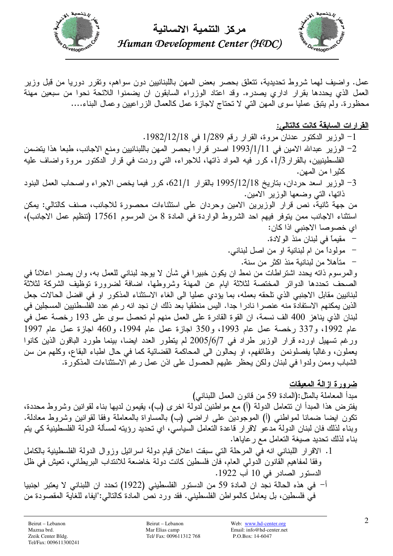



Human Development Center (HDC)

عمل. واضيف لمهما شروط تحديدية، نتعلق بحصر بعض المهن باللبنانيين دون سواهم، ونقرر دوريا من قبل وزير العمل الذي يحددها بقرار اداري يصدره. وقد اعتاد الوزراء السابقون ان يضمنوا اللائحة نحوا من سبعين مهنة محظورة. ولم يتبق عمليا سوى المـهن التـي لا نحناج لاجازة عمل كالعمال الزراعيين وعمال البناء....

## القرارات السابقة كانت كالتالي:

- 1- الوزير الدكتور عدنان مروة، القرار رقم 1/289 في 1982/12/18.
- 2– الوزير عبدالله الامين في 1/1/1993 اصدر قرارا بحصر المهن باللبنانيين ومنع الاجانب، طبعا هذا يتضمن الفلسطينيين، بالقرار 1/3، كرر فيه المواد ذاتها، للاجراء، التي وردت في قرار الدكتور مروة واضاف عليه كثير ا من المهن.
- 3– الوزير اسعد حردان، بناريخ 1995/12/18 بالقرار 621/1، كرر فيما يخص الاجراء واصحاب العمل البنود ذاتها، التبي وضعها الوزير الامين.

من جهة ثانية، نص قرار الوزيرين الامين وحردان على استثناءات محصورة للاجانب، صنف كالتالي: يمكن استثناء الاجانب ممن يتوفر فيهم احد الشروط الواردة في المادة 8 من المرسوم 17561 (تنظيم عمل الاجانب)، اي خصوصا الاجنبي اذا كان:

- مقيماً في لبنان منذ الولادة.
- مولوداً من ام لبنانية او من اصل لبناني.
	- متأهلاً من لبنانية منذ اكثر من سنة.

و المرسوم ذاته يحدد اشتر اطات من نمط ان يكون خبير ا في شأن لا يوجد لبناني للعمل به، و إن يصدر ِ اعلاناً في الصحف تحددها الدوائر المختصة لثلاثة ايام عن المهنة وشروطها، اضافة لضرورة توظيف الشركة لثلاثة لبنانيين مقابل الاجنبي الذي تلحقه بعمله، بما يؤدي عمليا الى الغاء الاستثناء المذكور او في افضل الحالات جعل الذين يمكنهم الاستفادة منه عنصرا نادرا جدا. اليس منطقيا بعد ذلك ان نجد انه رغم عدد الفلسطنيين المسجلين في لبنان الذي يناهز 400 الف نسمة، ان القوة القادرة على العمل منهم لم تحصل سوى على 193 رخصة عمل في عام 1992، و337 رخصة عمل عام 1993، و350 اجازة عمل عام 1994، و460 اجازة عمل عام 1997 ورغم تسهيل اورده قرار الوزير طراد في 2005/6/7 لم يتطور العدد ايضا، بينما طورد الباقون الذين كانوا يعملون، وغالبًا يفصلونمن وظائفهم، او يحالون الى المحاكمة القضائية كما في حال اطباء البقاع، وكلهم من سن الشباب وممن ولدوا في لبنان ولكن يحظر عليهم الحصول على اذن عمل رغم الاستثناءات المذكورة.

## <u>ضرورة ازالة المعيقات</u>

مبدأ المعاملة بالمثل:(المادة 59 من قانون العمل اللبناني)

يفترض هذا المبدأ ان نتعامل الدولة (أ) مع مواطنين لدولة اخرى (ب)، يقيمون لديها بناء لقوانين وشروط محددة، نكون ايضـا ضمـانـا لمـواطنـي (أ) المـوجودين علـى اراضـي (ب) بـالمساواة بـالمـعاملـة وفقا لقوانين وشروط مـعادلـة. وبناء لذلك فان لبنان الدولة مدعو لاقرار قاعدة التعامل السياسي، اي تحديد رؤيته لمسألة الدولة الفلسطينية كي يتم بناء لذلك تحديد صيغة النعامل مع رعاياها.

- 1. الإقرار اللبناني انه في المرحلة التي سبقت اعلان قيام دولة اسر ائيل وزوال الدولة الفلسطينية بالكامل وفقا لمفاهيم القانون الدولمي العام، فان فلسطين كانت دولة خاضعة للانتداب البريطاني، تعيش في ظل الدستور الصادر في 10 آب 1922.
- أ– في هذه الحالة نجد ان المادة 59 من الدستور الفلسطيني (1922) تحدد ان اللبناني لا يعتبر اجنبيا في فلسطين، بل يعامل كالمواطن الفلسطيني. فقد ورد نص المادة كالتالي:"ايفاء للغاية المقصودة من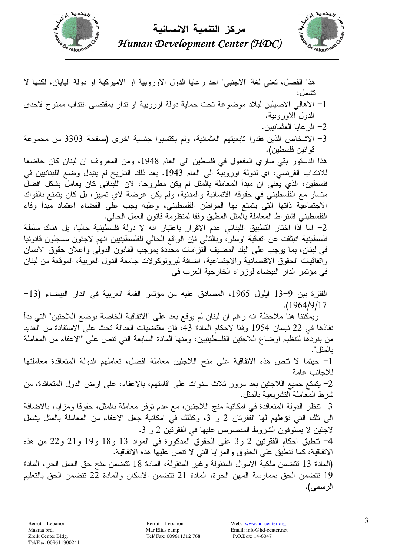



هذا الفصل، تعني لغة "الاجنبي" احد رعايا الدول الاوروبية او الاميركية او دولة اليابان، لكنها لا نشمل:

- 1– الاهالي الاصليلين لبلاد موضوعة نحت حماية دولة اوروبية او ندار بمقتضى انتداب ممنوح لاحدى الدول الاوروبية.
	- 2- الر عابا العثمانيين.
- 3- الاشخاص الذين فقدوا نابعيتهم العثمانية، ولم يكتسبوا جنسية اخرى (صفحة 3303 من مجموعة قو انين فلسطين).

هذا الدستور بقى ساري المفعول في فلسطين الى العام 1948، ومن المعروف ان لبنان كان خاضعا للانتداب الفرنسي، اي لدولة اوروبية الى العام 1943. بعد ذلك التاريخ لم يتبدل وضع اللبنانيين في فلسطين، الذي يعني ان مبدأ المعاملة بالمثل لم يكن مطروحا، لان اللّبناني كان يعامل بشكل افضلّ متساو مع الفلسطيني في حقوقه الانسانية والمدنية، ولم يكن عرضة لاي تمييز، بل كان يتمتع بالفوائد الاجتماعية ذاتها التي يتمتع بها المواطن الفلسطيني، وعليه يجب على القضاء اعتماد مبدأ وفاء الفلسطيني اشتراط المعاملة بالمثل المطبق وفقا لمنظومة قانون العمل الحالبي.

2- اما اذا اختار التطبيق اللبناني عدم الاقرار باعتبار انه لا دولة فلسطينية حاليا، بل هناك سلطة فلسطينية انبثقت عن انفاقية اوسلو ً، وبالتالى فإن الواقع الحالي للفلسطينيين انهم لاجئون مسجلون قانونيا في لبنان، بما يوجب على البلد المضيف الَّتز امات محدَّدة بموجَّب القانون الدولي و اعلان حقوق الانسان و اتفاقيات الحقوق الاقتصادية والاجتماعية، اضافة لبرونوكو لات جامعة الدول العربية، الموقعة من لبنان في مؤتمر الدار البيضاء لوزراء الخارجية العرب في

الفترة بين 9–13 ايلول 1965، المصادق عليه من مؤتمر القمة العربية في الدار البيضاء (13- $(1964/9/17$ 

ويمكننا هنا ملاحظة انه رغم ان لبنان لم يوقع بعد على "الاتفاقية الخاصة بوضع اللاجئين" التي بدأ نفاذها في 22 نيسان 1954 وفقا لاحكام المادة 43، فان مقتضيات العدالة تحث على الاستفادة من العديد من بنودها لنتظيم اوضـاع الـلاجئين الفلسطينييين، ومنـها المـادة السابـعة التـي نتص علـي "الاعفاء من المـعاملـة بالمثل".

1- حيثما لا نتص هذه الاتفاقية على منح اللاجئين معاملة افضل، تعاملهم الدولة المتعاقدة معاملتها للاحانب عامة

2– يتمتع جميع اللاجئين بعد مرور ثلاث سنوات على اقامتهم، بالاعفاء، على ارض الدول المتعاقدة، من شرط المعاملة النشر يعية بالمثل.

3– نتظر الدولة المتعاقدة في امكانية منج اللاجئين، مع عدم نوفر معاملة بالمثل، حقوقا ومزايا، بالاضافة الى نلك النَّبي نؤهلهم لها الفقرنان 2 و 3، وكذلك في امكانية جعل الاعفاء من المعاملة بالمثل يشمل لاجئين لا يستوفون الشروط المنصوص عليها في الفقرنين 2 و 3.

4– نتطبق احكام الفقرنين 2 و3 على الحقوق المذكورة في المواد 13 و18 و19 و21 و22 من هذه الاتفاقية، كما نتطَّبق على الحقوق والمزايا التـى لا نتص عليها هذه الانفاقية.

(المادة 13 نتضمن ملكية الاموال المنقولة وغير المنقولة، المادة 18 نتضمن منح حق العمل الحر، المادة 19 نتضمن الحق بممارسة المهن الحرة، المادة 21 نتضمن الاسكان والمادة 22 نتضمن الحق بالتعليم الر سمي).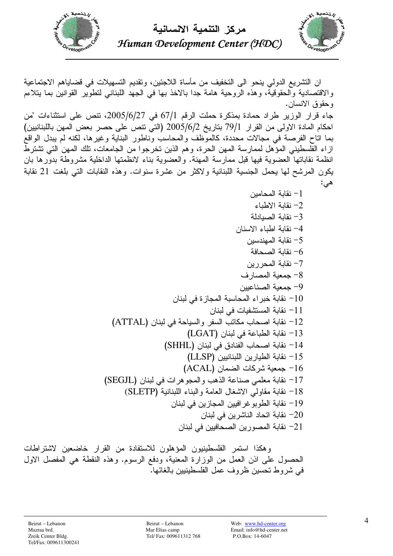



ان التشريع الدولي ينحو الى التخفيف من مأساة اللاجئين، وتقديم التسهيلات في قضاياهم الاجتماعية والاقتصادية والحقوقية، وهذه الروحية هامة جدا بالاخذ بها في الجهد اللبناني لتطوير القوانين بما يتلاءم وحقوق الانسان. جاء قرار الوزير طراد حمادة بمذكرة حملت الرقم 67/1 في 2005/6/27، تنص على استثناءات "من احكام المادة الاولى من القرار 79/1 بتاريخ 2005/6/2 (التي نتص على حصر بعض المهن باللبنانيين) بما اتاح الفرصة في مجالات محددة، كالموَّظف والمحاسب وناطور البناية وغيرها، لكنه لم يبدل الواقع از اء الفلسطيني المؤهل لممار سة المهن الحر ة، وهم الذين تخر جو ا من الجامعات، تلك المهن التي تشتر طّ انظمة نقاباتها العضوية فيها قبل ممارسة المهنة. والعضوية بناء لانظمتها الداخلية مشروطة بدورها بان يكون المرشح لها يحمل الجنسية اللبنانية ولاكثر من عشرة سنوات. وهذه النقابات النبي بلغت 21 نقابة هے ;: 1– نقابة المحامين 2– نقابة الاطباء 3- نقابة الصبادلة 4- نقابة اطباء الاسنان 5– نقابة المهندسبن نقابة الصحافة  $\hbox{--}$ 7– نقابة المحر ر بن 8- جمعبة المصار ف 9– جمعبة الصناعبين 10 – نقابة خبر اء المحاسبة المجازة في لبنان نقابة المستشفيات في لبنان  $-11$ 12 - نقابة اصحاب مكاتب السفر والسياحة في لبنان (ATTAL) 13 - نقابة الطباعة في لبنان (LGAT) 14 - نقابة اصحاب الفنادق في لبنان (SHHL)

15 - نقابة الطيارين اللبنانيين (LLSP) 16 - جمعية شركات الضمان (ACAL) 17- نقابة معلمي صناعة الذهب والمجوهرات في لبنان (SEGJL) 18 - نقابة مقاولي الاشغال العامة والبناء اللبنانية (SLETP) 19 – نقابة الطويو غر افيين المجازين في لبنان رين في لبنان الناشر بن في لبنان  $-20$ 21– نقابة المصور بن الصحافيين في لبنان

و هكذا استمر الفلسطينيون المؤهلون للاستفادة من القرار خاضعين لاشتراطات الحصول على اذن العمل من الوزارة المعنية، ودفع الرسوم. وهذه النقطة هي المفصل الاول في شر وط تحسين ظر وف عمل الفلسطينيين بالغائها.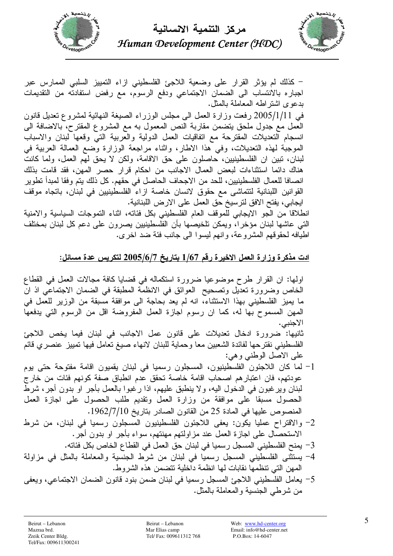

مركز التنمبة الانسانبة Human Development Center (HDC)



– كذلك لم يؤثر القرار على وضعية اللاجئ الفلسطيني ازاء التمييز السلبي الممارس عبر اجباره بالانتساب الى الضمان الاجتماعي ودفع الرسوم، مع رفض استفادته من النقديمات بدعوى اشتراطه المعاملة بالمثل. في 2005/1/11 رفعت وزارة العمل الى مجلس الوزراء الصيغة النهائية لمشروع نعديل قانون العمل مع جدول ملحق يتضمن مقاربة النص المعمول به مع المشروع المقترح، بالاضافة الى انسجام التعديلات المقترحة مع اتفاقيات العمل الدولية والعربية التي وقعها لبنان والاسباب الموجبة لهذه التعديلات، وفي هذا الاطار، واثناء مراجعة الوزارة وضع العمالة العربية في لبنان، تبين ان الفلسطينيين، حاصلون على حق الاقامة، ولكن لا يحق لهم العمل، ولما كانت هناك دائما استثناءات لبعض العمال الاجانب من احكام قرار حصر المهن، فقد قامت بذلك انصافا للعمال الفلسطينيين، للحد من الاجحاف الحاصل في حقهم. كل ذلك يتم وفقا لمبدأ نطوير القوانين اللبنانية لتتماشى مع حقوق لانسان خاصة ازاء الفلسطينيين في لبنان، باتجاه موقف ابجابي، يفتح الافق لترسيخ حق العمل على الارض اللبنانية.

انطلاقا من الجو الايجابي للموقف العام الفلسطيني بكل فئاته، اثناء التموجات السياسية والامنية التي عاشها لبنان مؤخرا، ويمكن تلخيصها بأن الفلسطينيين يصرون على دعم كل لبنان بمختلف اطيافه لحقوقهم المشروعة، وإنهم ليسوا اللي جانب فئة ضد اخرى.

## <u>ادت مذكرة وزارة العمل الاخيرة رقم 1/67 بتاريخ 2005/6/7 لتكريس عدة مسائل:</u>

اولها: ان القرار طرح موضوعيا ضرورة استكماله في قضايا كافة مجالات العمل في القطاع الخاص وضرورة تعديل وتصحيح العوائق في الانظمة المطبقة في الضمان الاجتماعي اذ ان ما يميز الفلسطيني بهذا الاستثناء، انه لم يعد بحاجة الى موافقة مسبقة من الوزير للعمل في المهن المسموح بها له، كما ان رسوم اجازة العمل المفروضة اقل من الرسوم التي يدفعها الاجنبي. ثانيها: ضرورة ادخال تعديلات على قانون عمل الاجانب في لبنان فيما يخص اللاجئ الفلسطيني نقترحها لفائدة الشعبين معا وحماية للبنان لانهاء صيغ تعامل فيها تمييز عنصري قائم على الاصل الوطني وهي: 1– لما كان اللاجئون الفلسطينيون، المسجلون رسميا في لبنان يقميون اقامة مفتوحة حتى يوم عودتهم، فان اعتبار هم اصحاب اقامة خاصة تحقق عدم انطباق صفة كونهم فئات من خارج لبنان ويرغبون في الدخول اليه، ولا ينطبق عليهم، اذا رغبوا بالعمل بأجر او بدون أجر، شرط الحصول مسبقا على موافقة من وزارة العمل ونقديم طلب الحصول على اجازة العمل المنصوص عليها في المادة 25 من القانون الصادر بتاريخ 1962/7/10. 2- والاقتراح عمليا يكون: يعفى اللاجئون الفلسطينيون المسجلون رسميا في لبنان، من شرط الاستحصال على اجازة العمل عند مزاولتهم مهنتهم، سواء بأجر او بدون أجر. 3– يمنح الفلسطيني المسجل رسميا في لبنان حق العمل في القطاع الخاص بكل فئاته. 4- يستثنى الفلسطيني المسجل رسميا في لبنان من شرط الجنسية والمعاملة بالمثل في مزاولة

- المهن التي نتظمها نقابات لها انظمة داخلية تتضمن هذه الشر وط.
- 5– يعامل الفلسطيني اللاجئ المسجل رسميا في لبنان ضمن بنود قانون الضمان الاجتماعي، ويعفى من شرطي الجنسية والمعاملة بالمثل.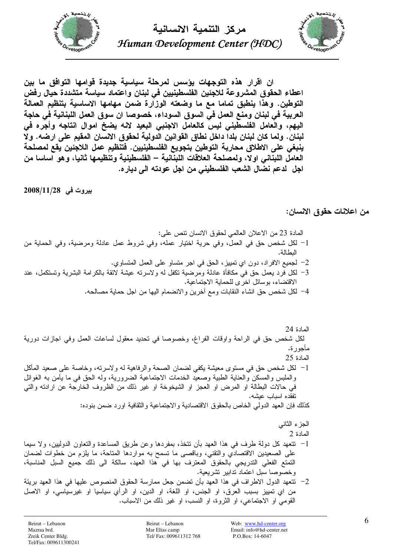



ان اڤرار هذه التوجهات يؤسس لمرحلة سياسية جديدة قوامها التوافق ما بين اعطاء الحقوق المشروعة للاجئين الفلسطينيين في لبنان واعتماد سياسة متشددة حيال رفض التوطين. وهذا ينطبق تماما مع ما وضعته الوزارة ضمن مهامها الاساسية بتنظيم العمالة العربية في لبنان ومنع العمل في السوق السوداء، خصوصا ان سوق العمل اللبنانية في حاجة اليهم، والعامل الفلسطيني ليس كالعامل الاجنبي البعيد لانه يضخ اموال انتاجه وأجره في لبنان. ولما كان لبنان بلدا داخل نطاق القوانين الدولية لحقوق الانسان المقيم على ارضه. ولا ينبغي على الاطلاق محاربة التوطين بتجويع الفلسطينيين. فتنظيم عمل اللاجئين يقع لمصلحة العامل اللبناني اولا، ولمصلحة العلاقات اللبنانية – الفلسطينية وتنظيمها ثانيا، وهو اساسا من اجل لدعم نضال الشعب الفلسطيني من اجل عودته الى ديار ه.

بيروت في 2008/11/28

من اعلانات حقوق الانسان:

المادة 23 من الاعلان العالمي لـحقوق الانسان نتص على:

- 1– لكل شخص حق في العمل، وفي حرية اختيار عمله، وفي شروط عمل عادلة ومرضية، وفي الحماية من النطالة.
	- 2– لجميع الافراد، دون اي نمييز ، الحق في اجر متساو على العمل المتساوي.
- 3– لكل فرد بعمل حق فـي مكافأة عادلة ومرضية نكفل لـه ولاسرنـه عيشة لائقة بالكرامة البشرية وتستكمل، عند الاقتضاء، بوسائل اخرى للحماية الاجتماعية.
	- 4– لكل شخص حق انشاء النقابات ومع أخرين والانضمام اليها من اجل حماية مصالحه.

المادة 24 لكل شخص حق في الراحة واوقات الفراغ، وخصوصا في تحديد معقول لساعات العمل وفي اجازات دورية مأجور ة. المادة 25 l = لكل شخص حق في مستوى معيشة يكفي لضمان الصحة والرفاهية لـه ولاسرته، وخاصة على صعيد المأكل والملبس والمسكن والعنابة الطبية وصعيد الخدمات الاجتماعية الضرورية، وله الحق في ما يأمن به الغوائل في حالات البطالة او المرض او العجز او الشيخوخة او غير ذلك من الظروف الخارجة عن ارادته والتي نفقده اسباب عبشه. كذلك فإن العهد الدولمي الخاص بالحقوق الاقتصادية والاجتماعية والثقافية اورد ضمن بنوده: الجزء الثانبي

- المادة 2 1– نتعهد كل دولة طرف في هذا العهد بأن نتخذ، بمفردها وعن طريق المساعدة والنعاون الدوليين، ولا سيما على الصعيدين الاقتصادي والتقني، وباقصي ما تسمح به مواردها المتاحة، ما يلزم من خطوات لضمان التمتع الفعلي التدريجي بالحقوق المعترف بها في هذا العهد، سالكة الى ذلك جميع السبل المناسبة، وخصوصا سبل اعتماد ندابير تشربعية.
- 2– نتعهد الدول الاطراف في هذا العهد بأن تضمن جعل ممارسة الحقوق المنصوص عليها في هذا العهد بريئة من اي تمييز بسبب العرق، او الجنس، او اللغة، او الدين، او الرأي سياسيا او غيرسياسي، او الاصل القومي او الاجتماعي، او الثروة، او النسب، او غير ذلك من الاسباب.